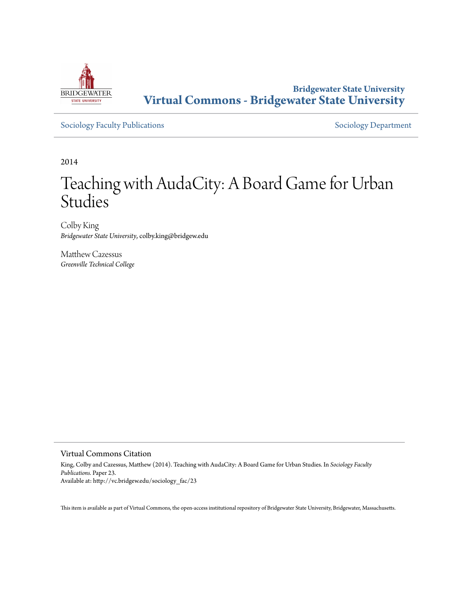

# **Bridgewater State University [Virtual Commons - Bridgewater State University](http://vc.bridgew.edu)**

[Sociology Faculty Publications](http://vc.bridgew.edu/sociology_fac) and [Sociology Department](http://vc.bridgew.edu/sociology)

2014

# Teaching with AudaCity: A Board Game for Urban Studies

Colby King *Bridgewater State University*, colby.king@bridgew.edu

Matthew Cazessus *Greenville Technical College*

### Virtual Commons Citation

King, Colby and Cazessus, Matthew (2014). Teaching with AudaCity: A Board Game for Urban Studies. In *Sociology Faculty Publications.* Paper 23. Available at: http://vc.bridgew.edu/sociology\_fac/23

This item is available as part of Virtual Commons, the open-access institutional repository of Bridgewater State University, Bridgewater, Massachusetts.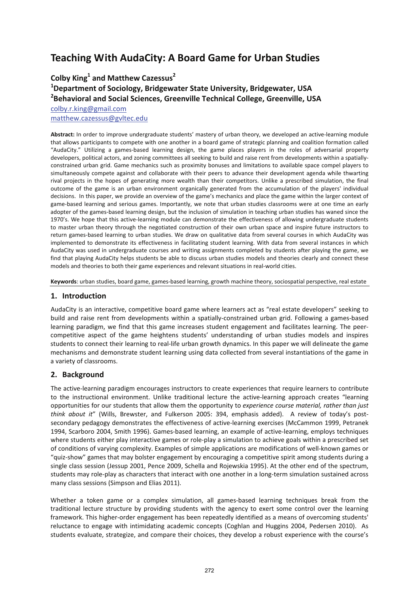# **Teaching With AudaCity: A Board Game for Urban Studies**

**Colby King<sup>1</sup> and Matthew Cazessus<sup>2</sup>**

# **1 Department of Sociology, Bridgewater State University, Bridgewater, USA 2 Behavioral and Social Sciences, Greenville Technical College, Greenville, USA**

[colby.r.king@gmail.com](mailto:colby.r.king@gmail.com) [matthew.cazessus@gvltec.edu](mailto:matthew.cazessus@gvltec.edu)

**Abstract:** In order to improve undergraduate students' mastery of urban theory, we developed an active‐learning module that allows participants to compete with one another in a board game of strategic planning and coalition formation called "AudaCity." Utilizing a games‐based learning design, the game places players in the roles of adversarial property developers, political actors, and zoning committees all seeking to build and raise rent from developments within a spatially‐ constrained urban grid. Game mechanics such as proximity bonuses and limitations to available space compel players to simultaneously compete against and collaborate with their peers to advance their development agenda while thwarting rival projects in the hopes of generating more wealth than their competitors. Unlike a prescribed simulation, the final outcome of the game is an urban environment organically generated from the accumulation of the players' individual decisions. In this paper, we provide an overview of the game's mechanics and place the game within the larger context of game-based learning and serious games. Importantly, we note that urban studies classrooms were at one time an early adopter of the games‐based learning design, but the inclusion of simulation in teaching urban studies has waned since the 1970's. We hope that this active-learning module can demonstrate the effectiveness of allowing undergraduate students to master urban theory through the negotiated construction of their own urban space and inspire future instructors to return games‐based learning to urban studies. We draw on qualitative data from several courses in which AudaCity was implemented to demonstrate its effectiveness in facilitating student learning. With data from several instances in which AudaCity was used in undergraduate courses and writing assignments completed by students after playing the game, we find that playing AudaCity helps students be able to discuss urban studies models and theories clearly and connect these models and theories to both their game experiences and relevant situations in real‐world cities.

**Keywords**: urban studies, board game, games‐based learning, growth machine theory, sociospatial perspective, real estate

### **1. Introduction**

AudaCity is an interactive, competitive board game where learners act as "real estate developers" seeking to build and raise rent from developments within a spatially‐constrained urban grid. Following a games‐based learning paradigm, we find that this game increases student engagement and facilitates learning. The peer‐ competitive aspect of the game heightens students' understanding of urban studies models and inspires students to connect their learning to real‐life urban growth dynamics. In this paper we will delineate the game mechanisms and demonstrate student learning using data collected from several instantiations of the game in a variety of classrooms.

# **2. Background**

The active-learning paradigm encourages instructors to create experiences that require learners to contribute to the instructional environment. Unlike traditional lecture the active-learning approach creates "learning opportunities for our students that allow them the opportunity to *experience course material, rather than just think about it*" (Wills, Brewster, and Fulkerson 2005: 394, emphasis added). A review of today's post‐ secondary pedagogy demonstrates the effectiveness of active-learning exercises (McCammon 1999, Petranek 1994, Scarboro 2004, Smith 1996). Games-based learning, an example of active-learning, employs techniques where students either play interactive games or role‐play a simulation to achieve goals within a prescribed set of conditions of varying complexity. Examples of simple applications are modifications of well‐known games or "quiz‐show" games that may bolster engagement by encouraging a competitive spirit among students during a single class session (Jessup 2001, Pence 2009, Schella and Rojewskia 1995). At the other end of the spectrum, students may role‐play as characters that interact with one another in a long‐term simulation sustained across many class sessions (Simpson and Elias 2011).

Whether a token game or a complex simulation, all games-based learning techniques break from the traditional lecture structure by providing students with the agency to exert some control over the learning framework. This higher‐order engagement has been repeatedly identified as a means of overcoming students' reluctance to engage with intimidating academic concepts (Coghlan and Huggins 2004, Pedersen 2010). As students evaluate, strategize, and compare their choices, they develop a robust experience with the course's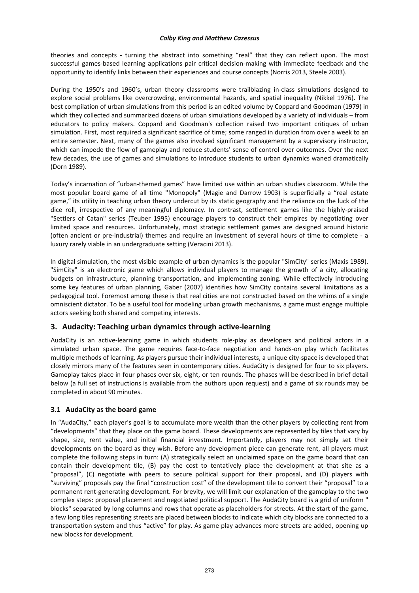theories and concepts - turning the abstract into something "real" that they can reflect upon. The most successful games-based learning applications pair critical decision-making with immediate feedback and the opportunity to identify links between their experiences and course concepts (Norris 2013, Steele 2003).

During the 1950's and 1960's, urban theory classrooms were trailblazing in‐class simulations designed to explore social problems like overcrowding, environmental hazards, and spatial inequality (Nikkel 1976). The best compilation of urban simulations from this period is an edited volume by Coppard and Goodman (1979) in which they collected and summarized dozens of urban simulations developed by a variety of individuals – from educators to policy makers. Coppard and Goodman's collection raised two important critiques of urban simulation. First, most required a significant sacrifice of time; some ranged in duration from over a week to an entire semester. Next, many of the games also involved significant management by a supervisory instructor, which can impede the flow of gameplay and reduce students' sense of control over outcomes. Over the next few decades, the use of games and simulations to introduce students to urban dynamics waned dramatically (Dorn 1989).

Today's incarnation of "urban‐themed games" have limited use within an urban studies classroom. While the most popular board game of all time "Monopoly" (Magie and Darrow 1903) is superficially a "real estate game," its utility in teaching urban theory undercut by its static geography and the reliance on the luck of the dice roll, irrespective of any meaningful diplomacy. In contrast, settlement games like the highly‐praised "Settlers of Catan" series (Teuber 1995) encourage players to construct their empires by negotiating over limited space and resources. Unfortunately, most strategic settlement games are designed around historic (often ancient or pre‐industrial) themes and require an investment of several hours of time to complete ‐ a luxury rarely viable in an undergraduate setting (Veracini 2013).

In digital simulation, the most visible example of urban dynamics is the popular "SimCity" series (Maxis 1989). "SimCity" is an electronic game which allows individual players to manage the growth of a city, allocating budgets on infrastructure, planning transportation, and implementing zoning. While effectively introducing some key features of urban planning, Gaber (2007) identifies how SimCity contains several limitations as a pedagogical tool. Foremost among these is that real cities are not constructed based on the whims of a single omniscient dictator. To be a useful tool for modeling urban growth mechanisms, a game must engage multiple actors seeking both shared and competing interests.

# **3. Audacity: Teaching urban dynamics through active‐learning**

AudaCity is an active‐learning game in which students role‐play as developers and political actors in a simulated urban space. The game requires face-to-face negotiation and hands-on play which facilitates multiple methods of learning. As players pursue their individual interests, a unique city‐space is developed that closely mirrors many of the features seen in contemporary cities. AudaCity is designed for four to six players. Gameplay takes place in four phases over six, eight, or ten rounds. The phases will be described in brief detail below (a full set of instructions is available from the authors upon request) and a game of six rounds may be completed in about 90 minutes.

### **3.1 AudaCity as the board game**

In "AudaCity," each player's goal is to accumulate more wealth than the other players by collecting rent from "developments" that they place on the game board. These developments are represented by tiles that vary by shape, size, rent value, and initial financial investment. Importantly, players may not simply set their developments on the board as they wish. Before any development piece can generate rent, all players must complete the following steps in turn: (A) strategically select an unclaimed space on the game board that can contain their development tile, (B) pay the cost to tentatively place the development at that site as a "proposal", (C) negotiate with peers to secure political support for their proposal, and (D) players with "surviving" proposals pay the final "construction cost" of the development tile to convert their "proposal" to a permanent rent‐generating development. For brevity, we will limit our explanation of the gameplay to the two complex steps: proposal placement and negotiated political support. The AudaCity board is a grid of uniform " blocks" separated by long columns and rows that operate as placeholders for streets. At the start of the game, a few long tiles representing streets are placed between blocks to indicate which city blocks are connected to a transportation system and thus "active" for play. As game play advances more streets are added, opening up new blocks for development.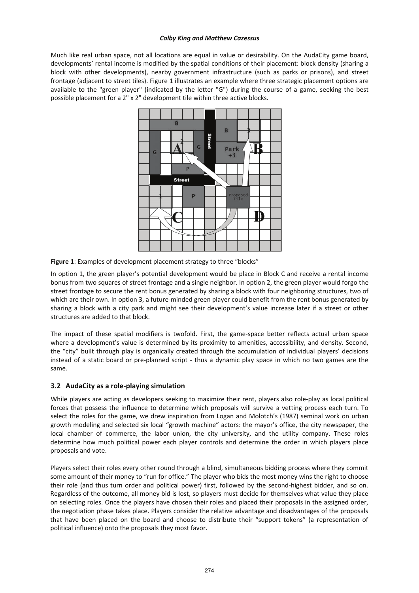Much like real urban space, not all locations are equal in value or desirability. On the AudaCity game board, developments' rental income is modified by the spatial conditions of their placement: block density (sharing a block with other developments), nearby government infrastructure (such as parks or prisons), and street frontage (adjacent to street tiles). Figure 1 illustrates an example where three strategic placement options are available to the "green player" (indicated by the letter "G") during the course of a game, seeking the best possible placement for a 2" x 2" development tile within three active blocks.



**Figure 1**: Examples of development placement strategy to three "blocks"

In option 1, the green player's potential development would be place in Block C and receive a rental income bonus from two squares of street frontage and a single neighbor. In option 2, the green player would forgo the street frontage to secure the rent bonus generated by sharing a block with four neighboring structures, two of which are their own. In option 3, a future-minded green player could benefit from the rent bonus generated by sharing a block with a city park and might see their development's value increase later if a street or other structures are added to that block.

The impact of these spatial modifiers is twofold. First, the game‐space better reflects actual urban space where a development's value is determined by its proximity to amenities, accessibility, and density. Second, the "city" built through play is organically created through the accumulation of individual players' decisions instead of a static board or pre-planned script - thus a dynamic play space in which no two games are the same.

### **3.2 AudaCity as a role‐playing simulation**

While players are acting as developers seeking to maximize their rent, players also role-play as local political forces that possess the influence to determine which proposals will survive a vetting process each turn. To select the roles for the game, we drew inspiration from Logan and Molotch's (1987) seminal work on urban growth modeling and selected six local "growth machine" actors: the mayor's office, the city newspaper, the local chamber of commerce, the labor union, the city university, and the utility company. These roles determine how much political power each player controls and determine the order in which players place proposals and vote.

Players select their roles every other round through a blind, simultaneous bidding process where they commit some amount of their money to "run for office." The player who bids the most money wins the right to choose their role (and thus turn order and political power) first, followed by the second‐highest bidder, and so on. Regardless of the outcome, all money bid is lost, so players must decide for themselves what value they place on selecting roles. Once the players have chosen their roles and placed their proposals in the assigned order, the negotiation phase takes place. Players consider the relative advantage and disadvantages of the proposals that have been placed on the board and choose to distribute their "support tokens" (a representation of political influence) onto the proposals they most favor.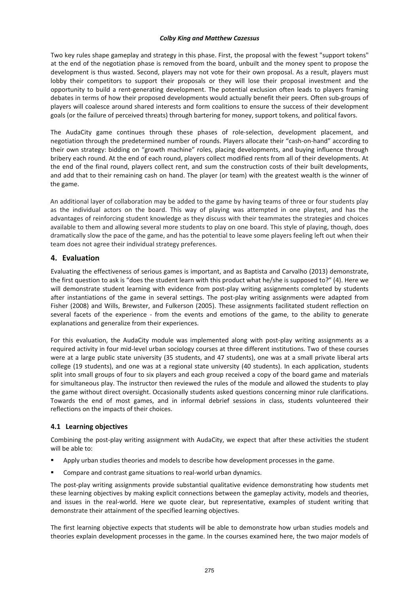Two key rules shape gameplay and strategy in this phase. First, the proposal with the fewest "support tokens" at the end of the negotiation phase is removed from the board, unbuilt and the money spent to propose the development is thus wasted. Second, players may not vote for their own proposal. As a result, players must lobby their competitors to support their proposals or they will lose their proposal investment and the opportunity to build a rent‐generating development. The potential exclusion often leads to players framing debates in terms of how their proposed developments would actually benefit their peers. Often sub‐groups of players will coalesce around shared interests and form coalitions to ensure the success of their development goals (or the failure of perceived threats) through bartering for money, support tokens, and political favors.

The AudaCity game continues through these phases of role‐selection, development placement, and negotiation through the predetermined number of rounds. Players allocate their "cash‐on‐hand" according to their own strategy: bidding on "growth machine" roles, placing developments, and buying influence through bribery each round. At the end of each round, players collect modified rents from all of their developments. At the end of the final round, players collect rent, and sum the construction costs of their built developments, and add that to their remaining cash on hand. The player (or team) with the greatest wealth is the winner of the game.

An additional layer of collaboration may be added to the game by having teams of three or four students play as the individual actors on the board. This way of playing was attempted in one playtest, and has the advantages of reinforcing student knowledge as they discuss with their teammates the strategies and choices available to them and allowing several more students to play on one board. This style of playing, though, does dramatically slow the pace of the game, and has the potential to leave some players feeling left out when their team does not agree their individual strategy preferences.

## **4. Evaluation**

Evaluating the effectiveness of serious games is important, and as Baptista and Carvalho (2013) demonstrate, the first question to ask is "does the student learn with this product what he/she is supposed to?" (4). Here we will demonstrate student learning with evidence from post-play writing assignments completed by students after instantiations of the game in several settings. The post-play writing assignments were adapted from Fisher (2008) and Wills, Brewster, and Fulkerson (2005). These assignments facilitated student reflection on several facets of the experience - from the events and emotions of the game, to the ability to generate explanations and generalize from their experiences.

For this evaluation, the AudaCity module was implemented along with post-play writing assignments as a required activity in four mid‐level urban sociology courses at three different institutions. Two of these courses were at a large public state university (35 students, and 47 students), one was at a small private liberal arts college (19 students), and one was at a regional state university (40 students). In each application, students split into small groups of four to six players and each group received a copy of the board game and materials for simultaneous play. The instructor then reviewed the rules of the module and allowed the students to play the game without direct oversight. Occasionally students asked questions concerning minor rule clarifications. Towards the end of most games, and in informal debrief sessions in class, students volunteered their reflections on the impacts of their choices.

### **4.1 Learning objectives**

Combining the post‐play writing assignment with AudaCity, we expect that after these activities the student will be able to:

- Apply urban studies theories and models to describe how development processes in the game.
- Compare and contrast game situations to real‐world urban dynamics.

The post‐play writing assignments provide substantial qualitative evidence demonstrating how students met these learning objectives by making explicit connections between the gameplay activity, models and theories, and issues in the real‐world. Here we quote clear, but representative, examples of student writing that demonstrate their attainment of the specified learning objectives.

The first learning objective expects that students will be able to demonstrate how urban studies models and theories explain development processes in the game. In the courses examined here, the two major models of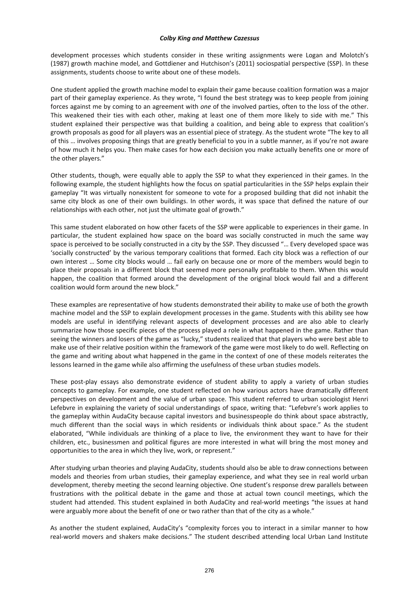development processes which students consider in these writing assignments were Logan and Molotch's (1987) growth machine model, and Gottdiener and Hutchison's (2011) sociospatial perspective (SSP). In these assignments, students choose to write about one of these models.

One student applied the growth machine model to explain their game because coalition formation was a major part of their gameplay experience. As they wrote, "I found the best strategy was to keep people from joining forces against me by coming to an agreement with *one* of the involved parties, often to the loss of the other. This weakened their ties with each other, making at least one of them more likely to side with me." This student explained their perspective was that building a coalition, and being able to express that coalition's growth proposals as good for all players was an essential piece of strategy. As the student wrote "The key to all of this … involves proposing things that are greatly beneficial to you in a subtle manner, as if you're not aware of how much it helps you. Then make cases for how each decision you make actually benefits one or more of the other players."

Other students, though, were equally able to apply the SSP to what they experienced in their games. In the following example, the student highlights how the focus on spatial particularities in the SSP helps explain their gameplay "It was virtually nonexistent for someone to vote for a proposed building that did not inhabit the same city block as one of their own buildings. In other words, it was space that defined the nature of our relationships with each other, not just the ultimate goal of growth."

This same student elaborated on how other facets of the SSP were applicable to experiences in their game. In particular, the student explained how space on the board was socially constructed in much the same way space is perceived to be socially constructed in a city by the SSP. They discussed "… Every developed space was 'socially constructed' by the various temporary coalitions that formed. Each city block was a reflection of our own interest … Some city blocks would … fail early on because one or more of the members would begin to place their proposals in a different block that seemed more personally profitable to them. When this would happen, the coalition that formed around the development of the original block would fail and a different coalition would form around the new block."

These examples are representative of how students demonstrated their ability to make use of both the growth machine model and the SSP to explain development processes in the game. Students with this ability see how models are useful in identifying relevant aspects of development processes and are also able to clearly summarize how those specific pieces of the process played a role in what happened in the game. Rather than seeing the winners and losers of the game as "lucky," students realized that that players who were best able to make use of their relative position within the framework of the game were most likely to do well. Reflecting on the game and writing about what happened in the game in the context of one of these models reiterates the lessons learned in the game while also affirming the usefulness of these urban studies models.

These post-play essays also demonstrate evidence of student ability to apply a variety of urban studies concepts to gameplay. For example, one student reflected on how various actors have dramatically different perspectives on development and the value of urban space. This student referred to urban sociologist Henri Lefebvre in explaining the variety of social understandings of space, writing that: "Lefebvre's work applies to the gameplay within AudaCity because capital investors and businesspeople do think about space abstractly, much different than the social ways in which residents or individuals think about space." As the student elaborated, "While individuals are thinking of a place to live, the environment they want to have for their children, etc., businessmen and political figures are more interested in what will bring the most money and opportunities to the area in which they live, work, or represent."

After studying urban theories and playing AudaCity, students should also be able to draw connections between models and theories from urban studies, their gameplay experience, and what they see in real world urban development, thereby meeting the second learning objective. One student's response drew parallels between frustrations with the political debate in the game and those at actual town council meetings, which the student had attended. This student explained in both AudaCity and real‐world meetings "the issues at hand were arguably more about the benefit of one or two rather than that of the city as a whole."

As another the student explained, AudaCity's "complexity forces you to interact in a similar manner to how real‐world movers and shakers make decisions." The student described attending local Urban Land Institute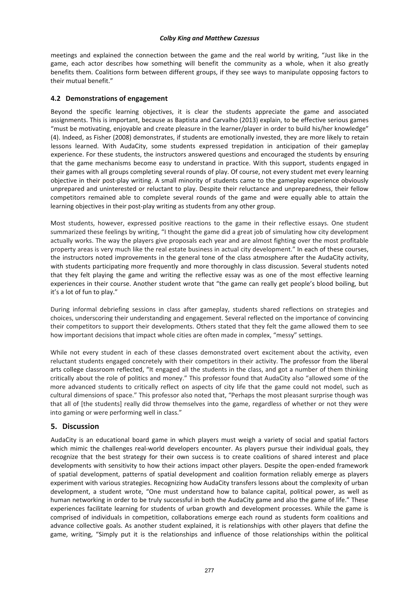meetings and explained the connection between the game and the real world by writing, "Just like in the game, each actor describes how something will benefit the community as a whole, when it also greatly benefits them. Coalitions form between different groups, if they see ways to manipulate opposing factors to their mutual benefit."

#### **4.2 Demonstrations of engagement**

Beyond the specific learning objectives, it is clear the students appreciate the game and associated assignments. This is important, because as Baptista and Carvalho (2013) explain, to be effective serious games "must be motivating, enjoyable and create pleasure in the learner/player in order to build his/her knowledge" (4). Indeed, as Fisher (2008) demonstrates, if students are emotionally invested, they are more likely to retain lessons learned. With AudaCity, some students expressed trepidation in anticipation of their gameplay experience. For these students, the instructors answered questions and encouraged the students by ensuring that the game mechanisms become easy to understand in practice. With this support, students engaged in their games with all groups completing several rounds of play. Of course, not every student met every learning objective in their post‐play writing. A small minority of students came to the gameplay experience obviously unprepared and uninterested or reluctant to play. Despite their reluctance and unpreparedness, their fellow competitors remained able to complete several rounds of the game and were equally able to attain the learning objectives in their post-play writing as students from any other group.

Most students, however, expressed positive reactions to the game in their reflective essays. One student summarized these feelings by writing, "I thought the game did a great job of simulating how city development actually works. The way the players give proposals each year and are almost fighting over the most profitable property areas is very much like the real estate business in actual city development." In each of these courses, the instructors noted improvements in the general tone of the class atmosphere after the AudaCity activity, with students participating more frequently and more thoroughly in class discussion. Several students noted that they felt playing the game and writing the reflective essay was as one of the most effective learning experiences in their course. Another student wrote that "the game can really get people's blood boiling, but it's a lot of fun to play."

During informal debriefing sessions in class after gameplay, students shared reflections on strategies and choices, underscoring their understanding and engagement. Several reflected on the importance of convincing their competitors to support their developments. Others stated that they felt the game allowed them to see how important decisions that impact whole cities are often made in complex, "messy" settings.

While not every student in each of these classes demonstrated overt excitement about the activity, even reluctant students engaged concretely with their competitors in their activity. The professor from the liberal arts college classroom reflected, "It engaged all the students in the class, and got a number of them thinking critically about the role of politics and money." This professor found that AudaCity also "allowed some of the more advanced students to critically reflect on aspects of city life that the game could not model, such as cultural dimensions of space." This professor also noted that, "Perhaps the most pleasant surprise though was that all of [the students] really did throw themselves into the game, regardless of whether or not they were into gaming or were performing well in class."

### **5. Discussion**

AudaCity is an educational board game in which players must weigh a variety of social and spatial factors which mimic the challenges real-world developers encounter. As players pursue their individual goals, they recognize that the best strategy for their own success is to create coalitions of shared interest and place developments with sensitivity to how their actions impact other players. Despite the open‐ended framework of spatial development, patterns of spatial development and coalition formation reliably emerge as players experiment with various strategies. Recognizing how AudaCity transfers lessons about the complexity of urban development, a student wrote, "One must understand how to balance capital, political power, as well as human networking in order to be truly successful in both the AudaCity game and also the game of life." These experiences facilitate learning for students of urban growth and development processes. While the game is comprised of individuals in competition, collaborations emerge each round as students form coalitions and advance collective goals. As another student explained, it is relationships with other players that define the game, writing, "Simply put it is the relationships and influence of those relationships within the political